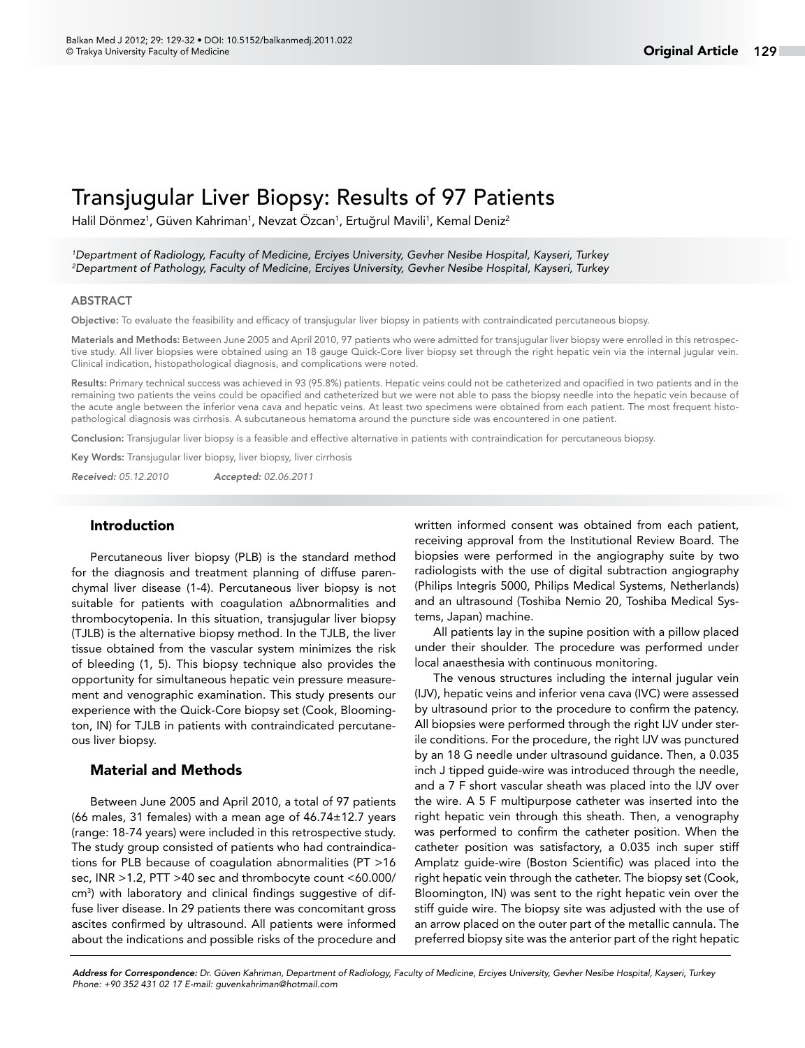# Transjugular Liver Biopsy: Results of 97 Patients

Halil Dönmez<sup>1</sup>, Güven Kahriman<sup>1</sup>, Nevzat Özcan<sup>1</sup>, Ertuğrul Mavili<sup>1</sup>, Kemal Deniz<sup>2</sup>

*1 Department of Radiology, Faculty of Medicine, Erciyes University, Gevher Nesibe Hospital, Kayseri, Turkey 2 Department of Pathology, Faculty of Medicine, Erciyes University, Gevher Nesibe Hospital, Kayseri, Turkey*

#### ABSTRACT

Objective: To evaluate the feasibility and efficacy of transjugular liver biopsy in patients with contraindicated percutaneous biopsy.

Materials and Methods: Between June 2005 and April 2010, 97 patients who were admitted for transjugular liver biopsy were enrolled in this retrospective study. All liver biopsies were obtained using an 18 gauge Quick-Core liver biopsy set through the right hepatic vein via the internal jugular vein. Clinical indication, histopathological diagnosis, and complications were noted.

Results: Primary technical success was achieved in 93 (95.8%) patients. Hepatic veins could not be catheterized and opacified in two patients and in the remaining two patients the veins could be opacified and catheterized but we were not able to pass the biopsy needle into the hepatic vein because of the acute angle between the inferior vena cava and hepatic veins. At least two specimens were obtained from each patient. The most frequent histopathological diagnosis was cirrhosis. A subcutaneous hematoma around the puncture side was encountered in one patient.

Conclusion: Transjugular liver biopsy is a feasible and effective alternative in patients with contraindication for percutaneous biopsy.

Key Words: Transjugular liver biopsy, liver biopsy, liver cirrhosis

*Received: 05.12.2010 Accepted: 02.06.2011*

## Introduction

Percutaneous liver biopsy (PLB) is the standard method for the diagnosis and treatment planning of diffuse parenchymal liver disease (1-4). Percutaneous liver biopsy is not suitable for patients with coagulation a∆bnormalities and thrombocytopenia. In this situation, transjugular liver biopsy (TJLB) is the alternative biopsy method. In the TJLB, the liver tissue obtained from the vascular system minimizes the risk of bleeding (1, 5). This biopsy technique also provides the opportunity for simultaneous hepatic vein pressure measurement and venographic examination. This study presents our experience with the Quick-Core biopsy set (Cook, Bloomington, IN) for TJLB in patients with contraindicated percutaneous liver biopsy.

#### Material and Methods

Between June 2005 and April 2010, a total of 97 patients (66 males, 31 females) with a mean age of 46.74±12.7 years (range: 18-74 years) were included in this retrospective study. The study group consisted of patients who had contraindications for PLB because of coagulation abnormalities (PT >16 sec, INR >1.2, PTT >40 sec and thrombocyte count <60.000/ cm3 ) with laboratory and clinical findings suggestive of diffuse liver disease. In 29 patients there was concomitant gross ascites confirmed by ultrasound. All patients were informed about the indications and possible risks of the procedure and written informed consent was obtained from each patient, receiving approval from the Institutional Review Board. The biopsies were performed in the angiography suite by two radiologists with the use of digital subtraction angiography (Philips Integris 5000, Philips Medical Systems, Netherlands) and an ultrasound (Toshiba Nemio 20, Toshiba Medical Systems, Japan) machine.

All patients lay in the supine position with a pillow placed under their shoulder. The procedure was performed under local anaesthesia with continuous monitoring.

The venous structures including the internal jugular vein (IJV), hepatic veins and inferior vena cava (IVC) were assessed by ultrasound prior to the procedure to confirm the patency. All biopsies were performed through the right IJV under sterile conditions. For the procedure, the right IJV was punctured by an 18 G needle under ultrasound guidance. Then, a 0.035 inch J tipped guide-wire was introduced through the needle, and a 7 F short vascular sheath was placed into the IJV over the wire. A 5 F multipurpose catheter was inserted into the right hepatic vein through this sheath. Then, a venography was performed to confirm the catheter position. When the catheter position was satisfactory, a 0.035 inch super stiff Amplatz guide-wire (Boston Scientific) was placed into the right hepatic vein through the catheter. The biopsy set (Cook, Bloomington, IN) was sent to the right hepatic vein over the stiff guide wire. The biopsy site was adjusted with the use of an arrow placed on the outer part of the metallic cannula. The preferred biopsy site was the anterior part of the right hepatic

*Address for Correspondence: Dr. Güven Kahriman, Department of Radiology, Faculty of Medicine, Erciyes University, Gevher Nesibe Hospital, Kayseri, Turkey Phone: +90 352 431 02 17 E-mail: guvenkahriman@hotmail.com*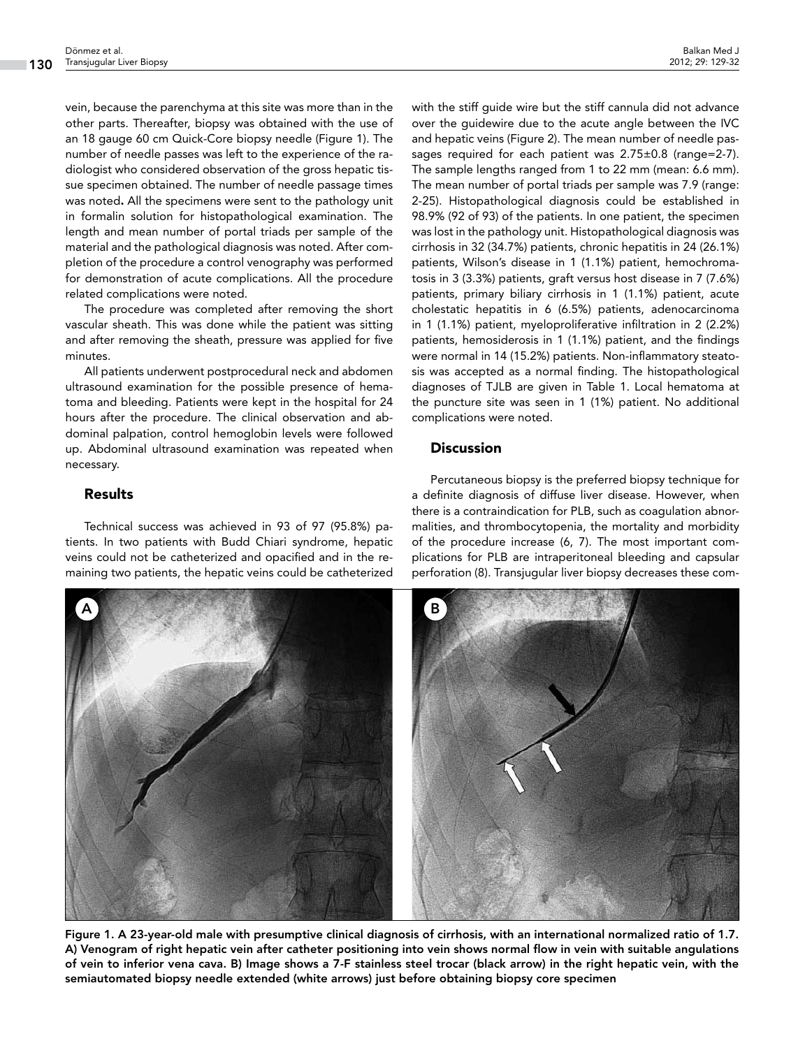vein, because the parenchyma at this site was more than in the other parts. Thereafter, biopsy was obtained with the use of an 18 gauge 60 cm Quick-Core biopsy needle (Figure 1). The number of needle passes was left to the experience of the radiologist who considered observation of the gross hepatic tissue specimen obtained. The number of needle passage times was noted. All the specimens were sent to the pathology unit in formalin solution for histopathological examination. The length and mean number of portal triads per sample of the material and the pathological diagnosis was noted. After completion of the procedure a control venography was performed for demonstration of acute complications. All the procedure related complications were noted.

The procedure was completed after removing the short vascular sheath. This was done while the patient was sitting and after removing the sheath, pressure was applied for five minutes.

All patients underwent postprocedural neck and abdomen ultrasound examination for the possible presence of hematoma and bleeding. Patients were kept in the hospital for 24 hours after the procedure. The clinical observation and abdominal palpation, control hemoglobin levels were followed up. Abdominal ultrasound examination was repeated when necessary.

# Results

Technical success was achieved in 93 of 97 (95.8%) patients. In two patients with Budd Chiari syndrome, hepatic veins could not be catheterized and opacified and in the remaining two patients, the hepatic veins could be catheterized

with the stiff guide wire but the stiff cannula did not advance over the guidewire due to the acute angle between the IVC and hepatic veins (Figure 2). The mean number of needle passages required for each patient was 2.75±0.8 (range=2-7). The sample lengths ranged from 1 to 22 mm (mean: 6.6 mm). The mean number of portal triads per sample was 7.9 (range: 2-25). Histopathological diagnosis could be established in 98.9% (92 of 93) of the patients. In one patient, the specimen was lost in the pathology unit. Histopathological diagnosis was cirrhosis in 32 (34.7%) patients, chronic hepatitis in 24 (26.1%) patients, Wilson's disease in 1 (1.1%) patient, hemochromatosis in 3 (3.3%) patients, graft versus host disease in 7 (7.6%) patients, primary biliary cirrhosis in 1 (1.1%) patient, acute cholestatic hepatitis in 6 (6.5%) patients, adenocarcinoma in 1 (1.1%) patient, myeloproliferative infiltration in 2 (2.2%) patients, hemosiderosis in 1 (1.1%) patient, and the findings were normal in 14 (15.2%) patients. Non-inflammatory steatosis was accepted as a normal finding. The histopathological diagnoses of TJLB are given in Table 1. Local hematoma at the puncture site was seen in 1 (1%) patient. No additional complications were noted.

# **Discussion**

Percutaneous biopsy is the preferred biopsy technique for a definite diagnosis of diffuse liver disease. However, when there is a contraindication for PLB, such as coagulation abnormalities, and thrombocytopenia, the mortality and morbidity of the procedure increase (6, 7). The most important complications for PLB are intraperitoneal bleeding and capsular perforation (8). Transjugular liver biopsy decreases these com-



Figure 1. A 23-year-old male with presumptive clinical diagnosis of cirrhosis, with an international normalized ratio of 1.7. A) Venogram of right hepatic vein after catheter positioning into vein shows normal flow in vein with suitable angulations of vein to inferior vena cava. B) Image shows a 7-F stainless steel trocar (black arrow) in the right hepatic vein, with the semiautomated biopsy needle extended (white arrows) just before obtaining biopsy core specimen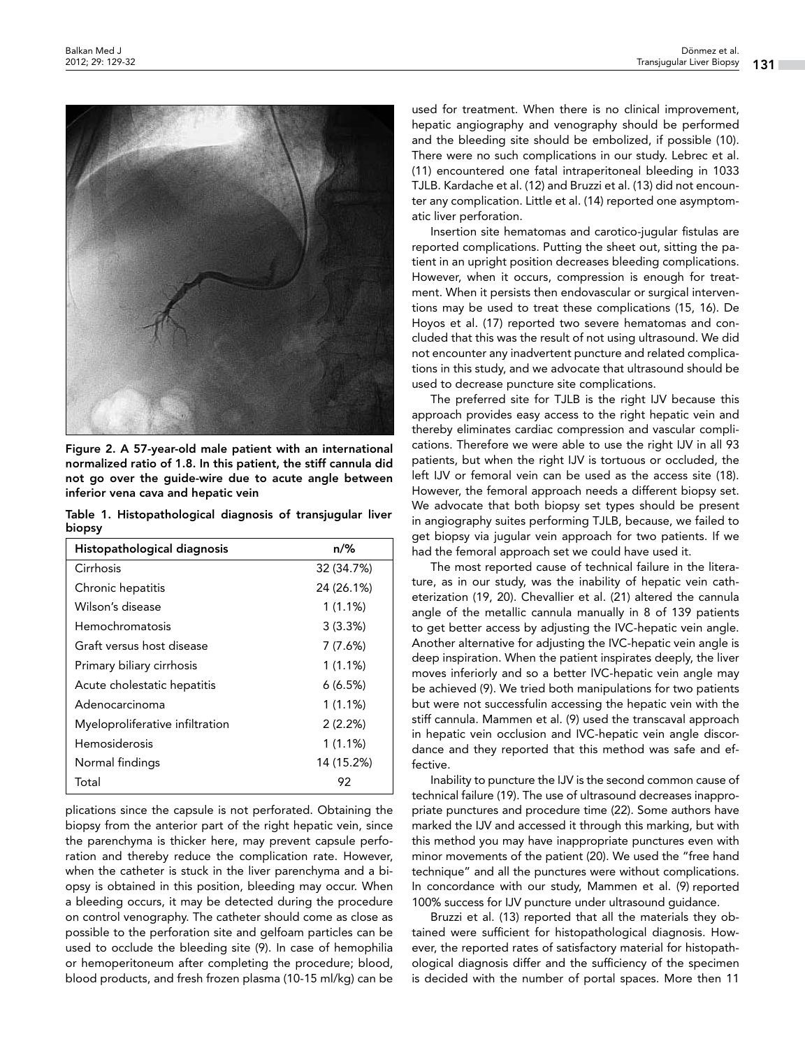

Figure 2. A 57-year-old male patient with an international normalized ratio of 1.8. In this patient, the stiff cannula did not go over the guide-wire due to acute angle between inferior vena cava and hepatic vein

Table 1. Histopathological diagnosis of transjugular liver biopsy

| Histopathological diagnosis     | $n\frac{9}{6}$ |
|---------------------------------|----------------|
| Cirrhosis                       | 32 (34.7%)     |
| Chronic hepatitis               | 24 (26.1%)     |
| Wilson's disease                | $1(1.1\%)$     |
| Hemochromatosis                 | 3(3.3%)        |
| Graft versus host disease       | 7 (7.6%)       |
| Primary biliary cirrhosis       | $1(1.1\%)$     |
| Acute cholestatic hepatitis     | 6(6.5%)        |
| Adenocarcinoma                  | 1(1.1%)        |
| Myeloproliferative infiltration | 2(2.2%)        |
| Hemosiderosis                   | $1(1.1\%)$     |
| Normal findings                 | 14 (15.2%)     |
| Total                           | 92             |

plications since the capsule is not perforated. Obtaining the biopsy from the anterior part of the right hepatic vein, since the parenchyma is thicker here, may prevent capsule perforation and thereby reduce the complication rate. However, when the catheter is stuck in the liver parenchyma and a biopsy is obtained in this position, bleeding may occur. When a bleeding occurs, it may be detected during the procedure on control venography. The catheter should come as close as possible to the perforation site and gelfoam particles can be used to occlude the bleeding site (9). In case of hemophilia or hemoperitoneum after completing the procedure; blood, blood products, and fresh frozen plasma (10-15 ml/kg) can be

used for treatment. When there is no clinical improvement, hepatic angiography and venography should be performed and the bleeding site should be embolized, if possible (10). There were no such complications in our study. Lebrec et al. (11) encountered one fatal intraperitoneal bleeding in 1033 TJLB. Kardache et al. (12) and Bruzzi et al. (13) did not encounter any complication. Little et al. (14) reported one asymptomatic liver perforation.

Insertion site hematomas and carotico-jugular fistulas are reported complications. Putting the sheet out, sitting the patient in an upright position decreases bleeding complications. However, when it occurs, compression is enough for treatment. When it persists then endovascular or surgical interventions may be used to treat these complications (15, 16). De Hoyos et al. (17) reported two severe hematomas and concluded that this was the result of not using ultrasound. We did not encounter any inadvertent puncture and related complications in this study, and we advocate that ultrasound should be used to decrease puncture site complications.

The preferred site for TJLB is the right IJV because this approach provides easy access to the right hepatic vein and thereby eliminates cardiac compression and vascular complications. Therefore we were able to use the right IJV in all 93 patients, but when the right IJV is tortuous or occluded, the left IJV or femoral vein can be used as the access site (18). However, the femoral approach needs a different biopsy set. We advocate that both biopsy set types should be present in angiography suites performing TJLB, because, we failed to get biopsy via jugular vein approach for two patients. If we had the femoral approach set we could have used it.

The most reported cause of technical failure in the literature, as in our study, was the inability of hepatic vein catheterization (19, 20). Chevallier et al. (21) altered the cannula angle of the metallic cannula manually in 8 of 139 patients to get better access by adjusting the IVC-hepatic vein angle. Another alternative for adjusting the IVC-hepatic vein angle is deep inspiration. When the patient inspirates deeply, the liver moves inferiorly and so a better IVC-hepatic vein angle may be achieved (9). We tried both manipulations for two patients but were not successfulin accessing the hepatic vein with the stiff cannula. Mammen et al. (9) used the transcaval approach in hepatic vein occlusion and IVC-hepatic vein angle discordance and they reported that this method was safe and effective.

Inability to puncture the IJV is the second common cause of technical failure (19). The use of ultrasound decreases inappropriate punctures and procedure time (22). Some authors have marked the IJV and accessed it through this marking, but with this method you may have inappropriate punctures even with minor movements of the patient (20). We used the "free hand technique" and all the punctures were without complications. In concordance with our study, Mammen et al. (9) reported 100% success for IJV puncture under ultrasound guidance.

Bruzzi et al. (13) reported that all the materials they obtained were sufficient for histopathological diagnosis. However, the reported rates of satisfactory material for histopathological diagnosis differ and the sufficiency of the specimen is decided with the number of portal spaces. More then 11